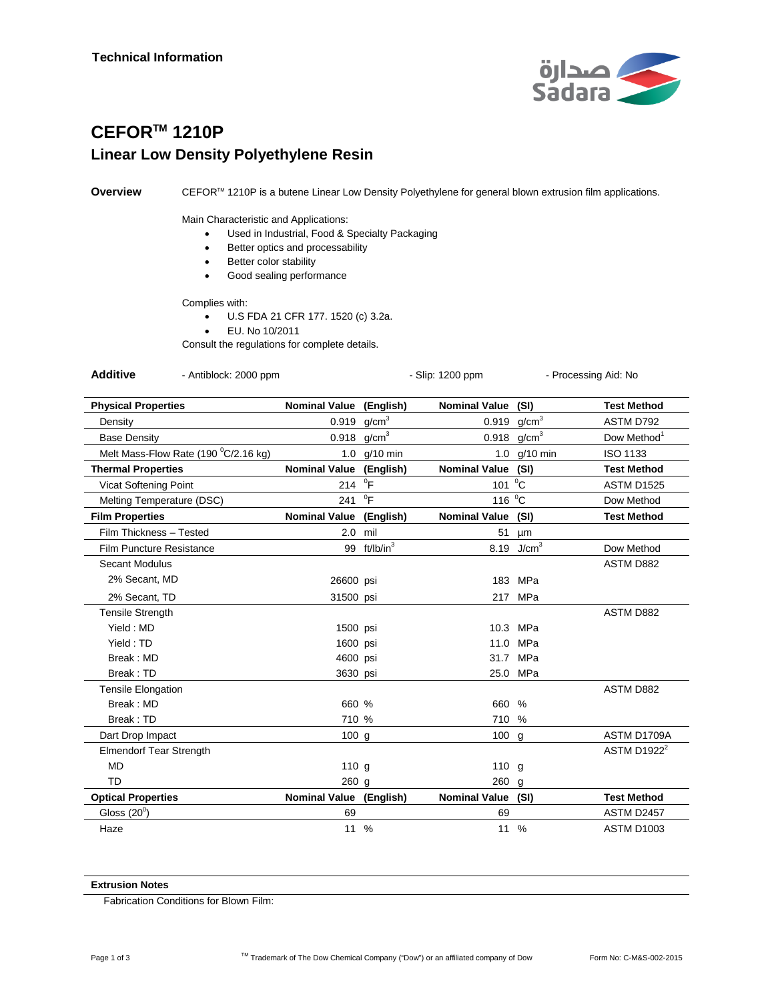

## **CEFORTM 1210P Linear Low Density Polyethylene Resin**

**Overview** CEFOR<sup>™</sup> 1210P is a butene Linear Low Density Polyethylene for general blown extrusion film applications.

Main Characteristic and Applications:

- Used in Industrial, Food & Specialty Packaging
- Better optics and processability
- Better color stability
- Good sealing performance

Complies with:

- U.S FDA 21 CFR 177. 1520 (c) 3.2a.
- EU. No 10/2011

Consult the regulations for complete details.

Additive - Antiblock: 2000 ppm - Slip: 1200 ppm - Processing Aid: No

| <b>Physical Properties</b>           | Nominal Value (English) |                       | Nominal Value (SI)   |                   | <b>Test Method</b>            |
|--------------------------------------|-------------------------|-----------------------|----------------------|-------------------|-------------------------------|
| Density                              | 0.919                   | g/cm <sup>3</sup>     | 0.919                | g/cm <sup>3</sup> | ASTM D792                     |
| <b>Base Density</b>                  | 0.918                   | g/cm <sup>3</sup>     | 0.918                | g/cm <sup>3</sup> | Dow Method <sup>1</sup>       |
| Melt Mass-Flow Rate (190 °C/2.16 kg) | 1.0                     | $g/10$ min            |                      | 1.0 g/10 min      | ISO 1133                      |
| <b>Thermal Properties</b>            | <b>Nominal Value</b>    | (English)             | <b>Nominal Value</b> | (SI)              | <b>Test Method</b>            |
| <b>Vicat Softening Point</b>         | 214                     | $\mathrm{P}^0$        | 101                  | $^0C$             | <b>ASTM D1525</b>             |
| Melting Temperature (DSC)            | 241                     | $^0$ F                | 116 °C               |                   | Dow Method                    |
| <b>Film Properties</b>               | <b>Nominal Value</b>    | (English)             | <b>Nominal Value</b> | (SI)              | <b>Test Method</b>            |
| Film Thickness - Tested              | 2.0                     | mil                   | 51                   | μm                |                               |
| Film Puncture Resistance             | 99                      | ft/lb/in <sup>3</sup> | 8.19                 | J/cm <sup>3</sup> | Dow Method                    |
| Secant Modulus                       |                         |                       |                      |                   | ASTM D882                     |
| 2% Secant, MD                        | 26600 psi               |                       | 183                  | MPa               |                               |
| 2% Secant, TD                        | 31500 psi               |                       | 217                  | MPa               |                               |
| <b>Tensile Strength</b>              |                         |                       |                      |                   | <b>ASTM D882</b>              |
| Yield: MD                            | 1500 psi                |                       | 10.3                 | MPa               |                               |
| Yield: TD                            | 1600 psi                |                       | 11.0                 | MPa               |                               |
| Break: MD                            | 4600 psi                |                       | 31.7                 | MPa               |                               |
| Break: TD                            | 3630 psi                |                       | 25.0                 | MPa               |                               |
| <b>Tensile Elongation</b>            |                         |                       |                      |                   | ASTM D882                     |
| Break: MD                            | 660 %                   |                       | 660                  | $\%$              |                               |
| Break: TD                            | 710 %                   |                       | 710                  | $\frac{9}{6}$     |                               |
| Dart Drop Impact                     | 100g                    |                       | 100 g                |                   | ASTM D1709A                   |
| <b>Elmendorf Tear Strength</b>       |                         |                       |                      |                   | <b>ASTM D1922<sup>2</sup></b> |
| <b>MD</b>                            | 110g                    |                       | 110 $q$              |                   |                               |
| TD                                   | $260$ g                 |                       | $260$ g              |                   |                               |
| <b>Optical Properties</b>            | <b>Nominal Value</b>    | (English)             | Nominal Value (SI)   |                   | <b>Test Method</b>            |
| Gloss $(20^0)$                       | 69                      |                       | 69                   |                   | <b>ASTM D2457</b>             |
| Haze                                 | 11 %                    |                       | 11 %                 |                   | <b>ASTM D1003</b>             |

## **Extrusion Notes**

Fabrication Conditions for Blown Film: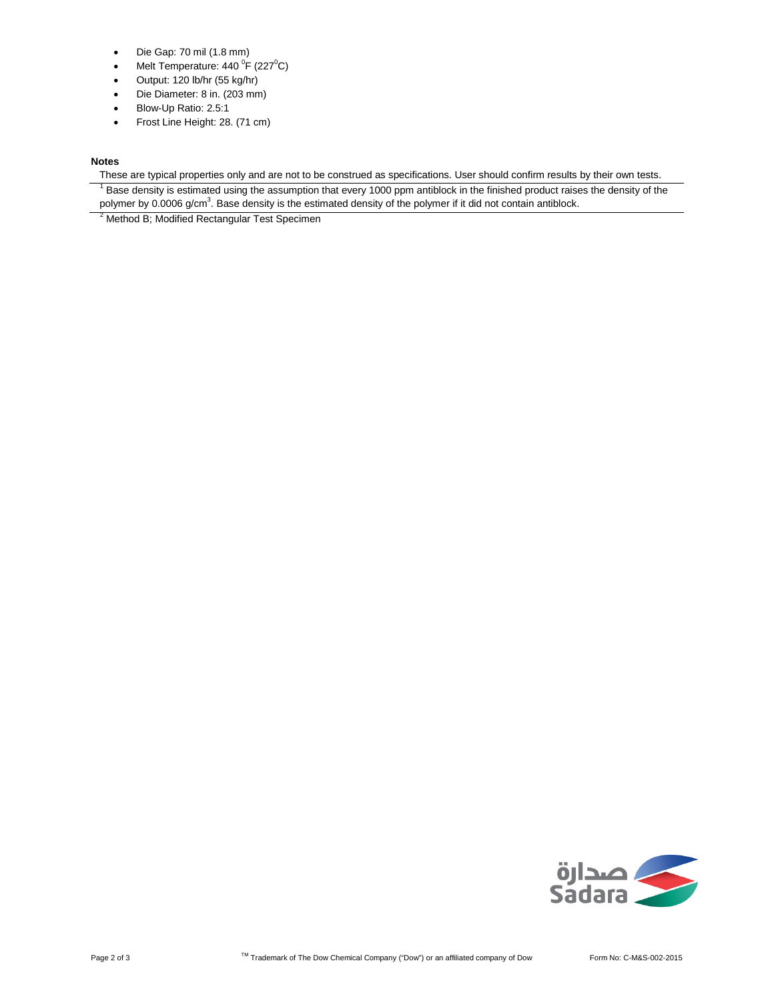- Die Gap: 70 mil (1.8 mm)
- Melt Temperature: 440  $\mathrm{^0F}$  (227 $\mathrm{^0C}$ )
- Output: 120 lb/hr (55 kg/hr)
- Die Diameter: 8 in. (203 mm)
- Blow-Up Ratio: 2.5:1
- Frost Line Height: 28. (71 cm)

## **Notes**

These are typical properties only and are not to be construed as specifications. User should confirm results by their own tests.

 $<sup>1</sup>$  Base density is estimated using the assumption that every 1000 ppm antiblock in the finished product raises the density of the</sup> polymer by 0.0006 g/cm<sup>3</sup>. Base density is the estimated density of the polymer if it did not contain antiblock.

<sup>2</sup> Method B; Modified Rectangular Test Specimen